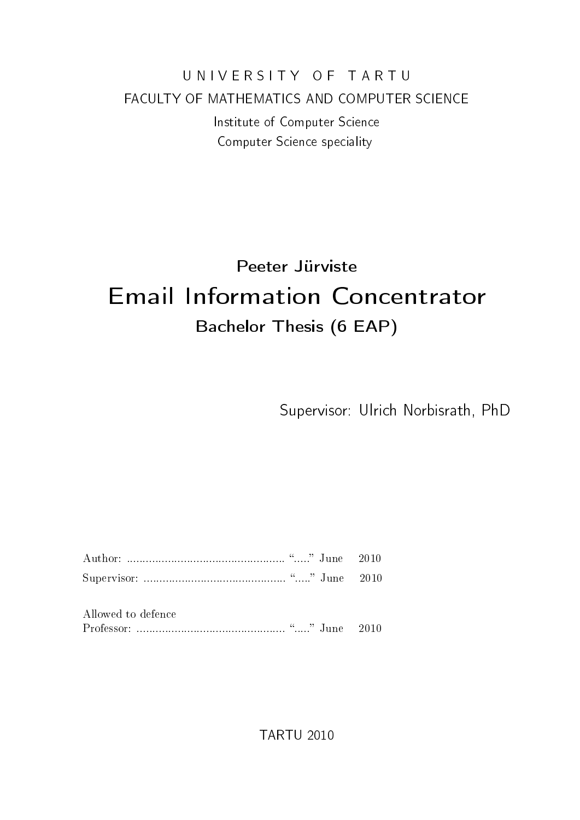### U N I V E R S I T Y O F T A R T U FACULTY OF MATHEMATICS AND COMPUTER SCIENCE Institute of Computer Science Computer Science speciality

# Peeter Jürviste Email Information Concentrator Bachelor Thesis (6 EAP)

Supervisor: Ulrich Norbisrath, PhD

| Allowed to defence |  |  |  |
|--------------------|--|--|--|

TARTU 2010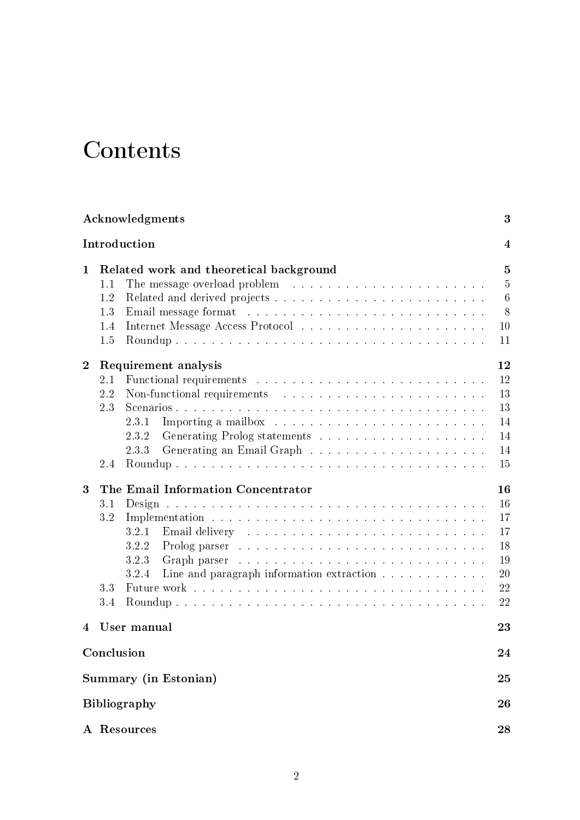# **Contents**

<span id="page-1-0"></span>

|                | Acknowledgments                                                                                                                                                                                                                                                                                                                                                                                       | 3                                                           |
|----------------|-------------------------------------------------------------------------------------------------------------------------------------------------------------------------------------------------------------------------------------------------------------------------------------------------------------------------------------------------------------------------------------------------------|-------------------------------------------------------------|
|                | Introduction                                                                                                                                                                                                                                                                                                                                                                                          | 4                                                           |
| $\mathbf 1$    | Related work and theoretical background<br>The message overload problem $\ldots \ldots \ldots \ldots \ldots \ldots \ldots \ldots$<br>1.1<br>1.2<br>Email message format response to the contract of the contract of the contract of the contract of the contract of the contract of the contract of the contract of the contract of the contract of the contract of the contract<br>1.3<br>1.4<br>1.5 | $\overline{5}$<br>$5\,$<br>$6\phantom{.}6$<br>8<br>10<br>11 |
| $\overline{2}$ | Requirement analysis<br>2.1<br>2.2<br>2.3<br>2.3.1<br>2.3.2<br>2.3.3<br>2.4                                                                                                                                                                                                                                                                                                                           | 12<br>12<br>13<br>13<br>14<br>14<br>14<br>15                |
| 3              | The Email Information Concentrator<br>3.1<br>3.2<br>3.2.1<br>3.2.2<br>3.2.3<br>3.2.4<br>Line and paragraph information extraction<br>3.3<br>3.4                                                                                                                                                                                                                                                       | 16<br>16<br>17<br>17<br>18<br>19<br>20<br>22<br>22          |
| 4              | User manual                                                                                                                                                                                                                                                                                                                                                                                           | 23                                                          |
|                | Conclusion                                                                                                                                                                                                                                                                                                                                                                                            | 24                                                          |
|                | Summary (in Estonian)                                                                                                                                                                                                                                                                                                                                                                                 | 25                                                          |
|                | <b>Bibliography</b>                                                                                                                                                                                                                                                                                                                                                                                   | 26                                                          |
|                | A Resources                                                                                                                                                                                                                                                                                                                                                                                           | 28                                                          |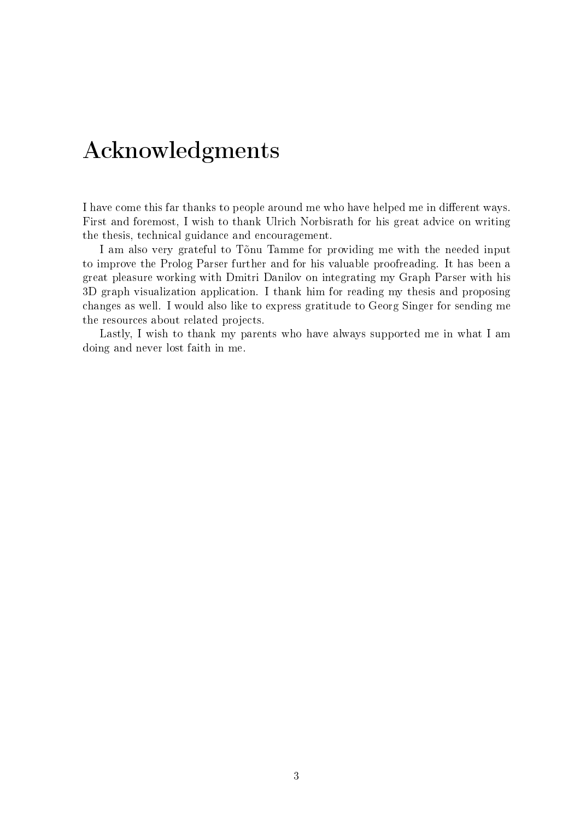# Acknowledgments

<span id="page-2-0"></span>I have come this far thanks to people around me who have helped me in different ways. First and foremost, I wish to thank Ulrich Norbisrath for his great advice on writing the thesis, technical guidance and encouragement.

I am also very grateful to Tõnu Tamme for providing me with the needed input to improve the Prolog Parser further and for his valuable proofreading. It has been a great pleasure working with Dmitri Danilov on integrating my Graph Parser with his 3D graph visualization application. I thank him for reading my thesis and proposing changes as well. I would also like to express gratitude to Georg Singer for sending me the resources about related projects.

Lastly, I wish to thank my parents who have always supported me in what I am doing and never lost faith in me.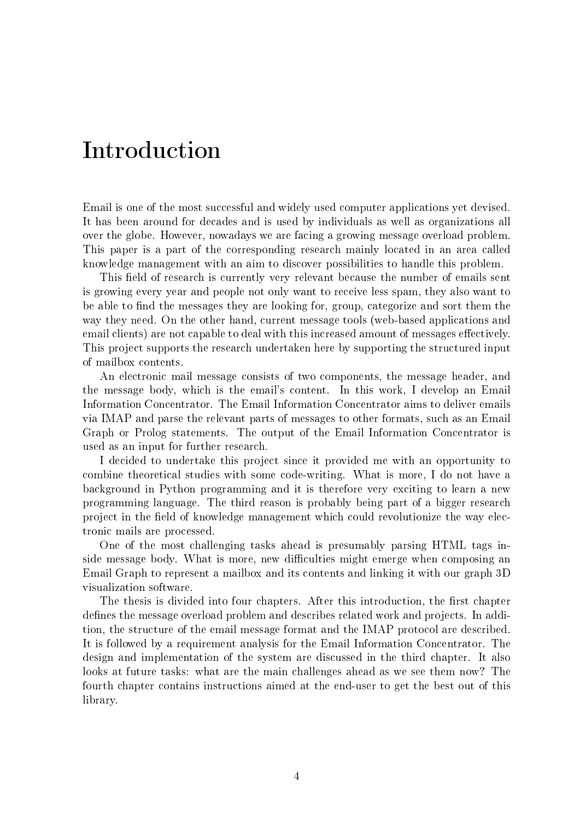### Introduction

Email is one of the most successful and widely used computer applications yet devised. It has been around for decades and is used by individuals as well as organizations all over the globe. However, nowadays we are facing a growing message overload problem. This paper is a part of the corresponding research mainly located in an area called knowledge management with an aim to discover possibilities to handle this problem.

This field of research is currently very relevant because the number of emails sent is growing every year and people not only want to receive less spam, they also want to be able to find the messages they are looking for, group, categorize and sort them the way they need. On the other hand, current message tools (web-based applications and email clients) are not capable to deal with this increased amount of messages effectively. This project supports the research undertaken here by supporting the structured input of mailbox contents.

An electronic mail message consists of two components, the message header, and the message body, which is the email's content. In this work, I develop an Email Information Concentrator. The Email Information Concentrator aims to deliver emails via IMAP and parse the relevant parts of messages to other formats, such as an Email Graph or Prolog statements. The output of the Email Information Concentrator is used as an input for further research.

I decided to undertake this project since it provided me with an opportunity to combine theoretical studies with some code-writing. What is more, I do not have a background in Python programming and it is therefore very exciting to learn a new programming language. The third reason is probably being part of a bigger research project in the field of knowledge management which could revolutionize the way electronic mails are processed.

One of the most challenging tasks ahead is presumably parsing HTML tags inside message body. What is more, new difficulties might emerge when composing an Email Graph to represent a mailbox and its contents and linking it with our graph 3D visualization software.

The thesis is divided into four chapters. After this introduction, the first chapter defines the message overload problem and describes related work and projects. In addition, the structure of the email message format and the IMAP protocol are described. It is followed by a requirement analysis for the Email Information Concentrator. The design and implementation of the system are discussed in the third chapter. It also looks at future tasks: what are the main challenges ahead as we see them now? The fourth chapter contains instructions aimed at the end-user to get the best out of this library.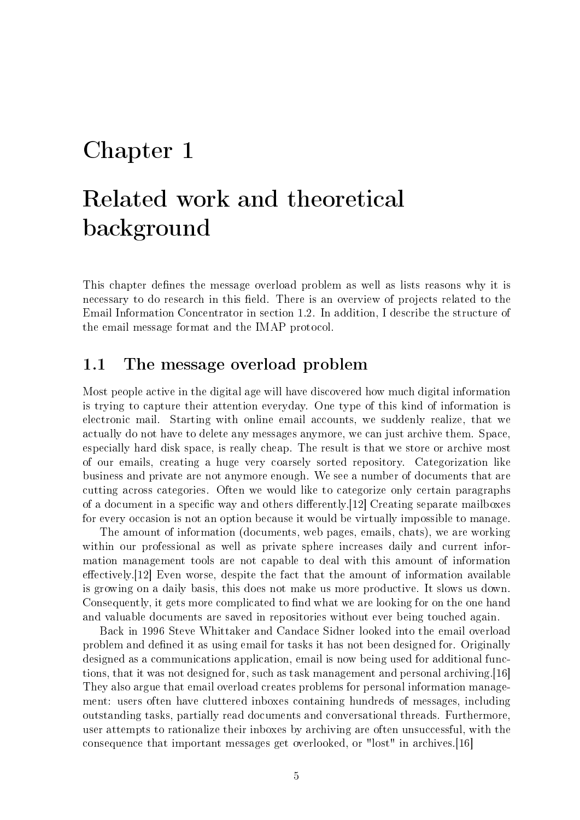### <span id="page-4-0"></span>Chapter 1

# Related work and theoretical background

This chapter defines the message overload problem as well as lists reasons why it is necessary to do research in this field. There is an overview of projects related to the Email Information Concentrator in section [1.2.](#page-5-0) In addition, I describe the structure of the email message format and the IMAP protocol.

#### <span id="page-4-1"></span>1.1 The message overload problem

Most people active in the digital age will have discovered how much digital information is trying to capture their attention everyday. One type of this kind of information is electronic mail. Starting with online email accounts, we suddenly realize, that we actually do not have to delete any messages anymore, we can just archive them. Space, especially hard disk space, is really cheap. The result is that we store or archive most of our emails, creating a huge very coarsely sorted repository. Categorization like business and private are not anymore enough. We see a number of documents that are cutting across categories. Often we would like to categorize only certain paragraphs of a document in a specific way and others differently.[\[12\]](#page-25-0) Creating separate mailboxes for every occasion is not an option because it would be virtually impossible to manage.

The amount of information (documents, web pages, emails, chats), we are working within our professional as well as private sphere increases daily and current information management tools are not capable to deal with this amount of information effectively.  $[12]$  Even worse, despite the fact that the amount of information available is growing on a daily basis, this does not make us more productive. It slows us down. Consequently, it gets more complicated to find what we are looking for on the one hand and valuable documents are saved in repositories without ever being touched again.

Back in 1996 Steve Whittaker and Candace Sidner looked into the email overload problem and dened it as using email for tasks it has not been designed for. Originally designed as a communications application, email is now being used for additional functions, that it was not designed for, such as task management and personal archiving.[\[16\]](#page-26-0) They also argue that email overload creates problems for personal information management: users often have cluttered inboxes containing hundreds of messages, including outstanding tasks, partially read documents and conversational threads. Furthermore, user attempts to rationalize their inboxes by archiving are often unsuccessful, with the consequence that important messages get overlooked, or "lost" in archives.[\[16\]](#page-26-0)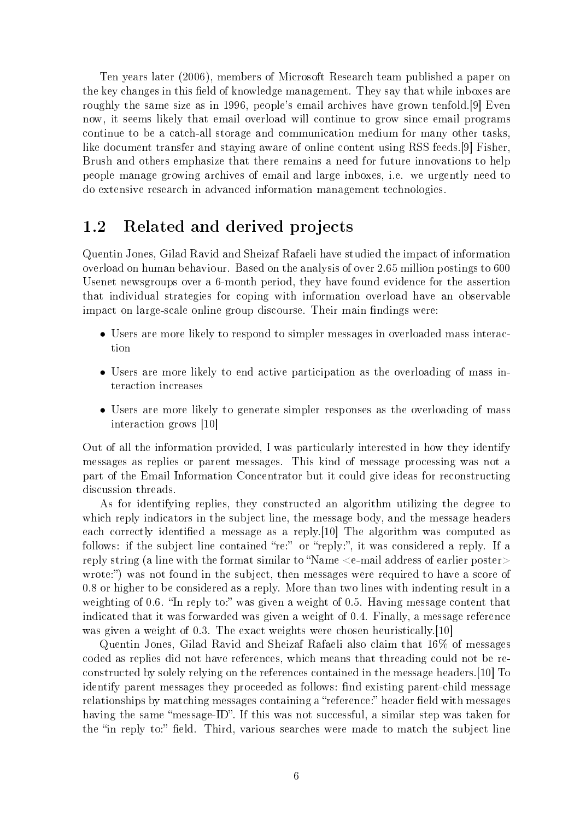Ten years later (2006), members of Microsoft Research team published a paper on the key changes in this field of knowledge management. They say that while inboxes are roughly the same size as in 1996, people's email archives have grown tenfold.[\[9\]](#page-25-1) Even now, it seems likely that email overload will continue to grow since email programs continue to be a catch-all storage and communication medium for many other tasks, like document transfer and staying aware of online content using RSS feeds.[\[9\]](#page-25-1) Fisher, Brush and others emphasize that there remains a need for future innovations to help people manage growing archives of email and large inboxes, i.e. we urgently need to do extensive research in advanced information management technologies.

#### <span id="page-5-0"></span>1.2 Related and derived projects

Quentin Jones, Gilad Ravid and Sheizaf Rafaeli have studied the impact of information overload on human behaviour. Based on the analysis of over 2.65 million postings to 600 Usenet newsgroups over a 6-month period, they have found evidence for the assertion that individual strategies for coping with information overload have an observable impact on large-scale online group discourse. Their main findings were:

- Users are more likely to respond to simpler messages in overloaded mass interaction
- Users are more likely to end active participation as the overloading of mass interaction increases
- Users are more likely to generate simpler responses as the overloading of mass interaction grows [\[10\]](#page-25-2)

Out of all the information provided, I was particularly interested in how they identify messages as replies or parent messages. This kind of message processing was not a part of the Email Information Concentrator but it could give ideas for reconstructing discussion threads.

As for identifying replies, they constructed an algorithm utilizing the degree to which reply indicators in the subject line, the message body, and the message headers each correctly identified a message as a reply. [\[10\]](#page-25-2) The algorithm was computed as follows: if the subject line contained "re:" or "reply:", it was considered a reply. If a reply string (a line with the format similar to "Name  $\leq$ e-mail address of earlier poster wrote:") was not found in the subject, then messages were required to have a score of 0.8 or higher to be considered as a reply. More than two lines with indenting result in a weighting of 0.6. "In reply to:" was given a weight of 0.5. Having message content that indicated that it was forwarded was given a weight of 0.4. Finally, a message reference was given a weight of 0.3. The exact weights were chosen heuristically. [\[10\]](#page-25-2)

Quentin Jones, Gilad Ravid and Sheizaf Rafaeli also claim that 16% of messages coded as replies did not have references, which means that threading could not be reconstructed by solely relying on the references contained in the message headers.[\[10\]](#page-25-2) To identify parent messages they proceeded as follows: find existing parent-child message relationships by matching messages containing a "reference:" header field with messages having the same "message-ID". If this was not successful, a similar step was taken for the "in reply to:" field. Third, various searches were made to match the subject line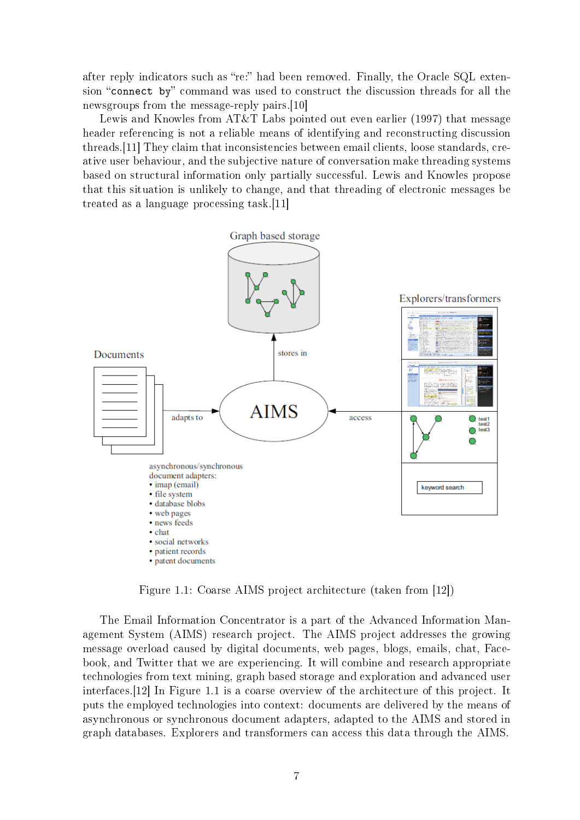after reply indicators such as "re:" had been removed. Finally, the Oracle SQL extension "connect by" command was used to construct the discussion threads for all the newsgroups from the message-reply pairs.[\[10\]](#page-25-2)

Lewis and Knowles from AT&T Labs pointed out even earlier (1997) that message header referencing is not a reliable means of identifying and reconstructing discussion threads.[\[11\]](#page-25-3) They claim that inconsistencies between email clients, loose standards, creative user behaviour, and the subjective nature of conversation make threading systems based on structural information only partially successful. Lewis and Knowles propose that this situation is unlikely to change, and that threading of electronic messages be treated as a language processing task.[\[11\]](#page-25-3)



<span id="page-6-0"></span>Figure 1.1: Coarse AIMS project architecture (taken from [\[12\]](#page-25-0))

The Email Information Concentrator is a part of the Advanced Information Management System (AIMS) research project. The AIMS project addresses the growing message overload caused by digital documents, web pages, blogs, emails, chat, Facebook, and Twitter that we are experiencing. It will combine and research appropriate technologies from text mining, graph based storage and exploration and advanced user interfaces.[\[12\]](#page-25-0) In Figure [1.1](#page-6-0) is a coarse overview of the architecture of this project. It puts the employed technologies into context: documents are delivered by the means of asynchronous or synchronous document adapters, adapted to the AIMS and stored in graph databases. Explorers and transformers can access this data through the AIMS.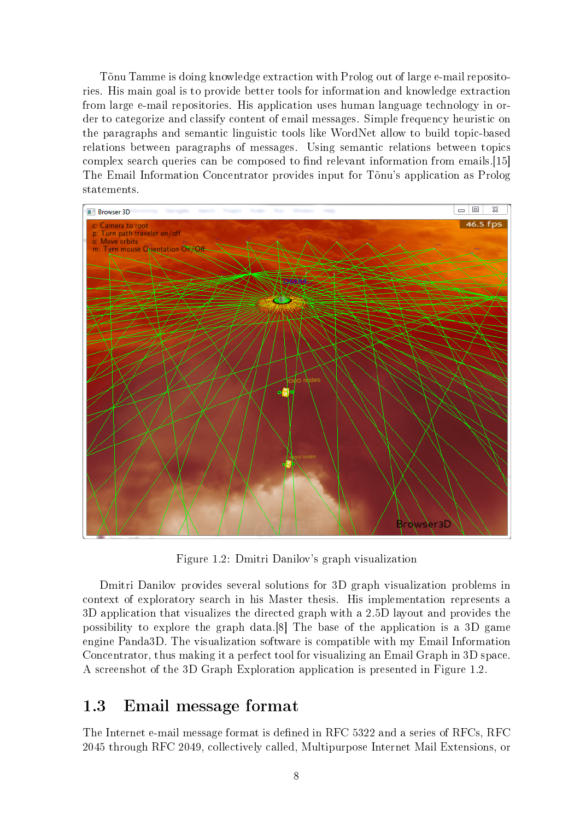Tõnu Tamme is doing knowledge extraction with Prolog out of large e-mail repositories. His main goal is to provide better tools for information and knowledge extraction from large e-mail repositories. His application uses human language technology in order to categorize and classify content of email messages. Simple frequency heuristic on the paragraphs and semantic linguistic tools like WordNet allow to build topic-based relations between paragraphs of messages. Using semantic relations between topics complex search queries can be composed to find relevant information from emails.[\[15\]](#page-26-1) The Email Information Concentrator provides input for Tõnu's application as Prolog statements.



<span id="page-7-1"></span>Figure 1.2: Dmitri Danilov's graph visualization

Dmitri Danilov provides several solutions for 3D graph visualization problems in context of exploratory search in his Master thesis. His implementation represents a 3D application that visualizes the directed graph with a 2.5D layout and provides the possibility to explore the graph data.[\[8\]](#page-25-4) The base of the application is a 3D game engine Panda3D. The visualization software is compatible with my Email Information Concentrator, thus making it a perfect tool for visualizing an Email Graph in 3D space. A screenshot of the 3D Graph Exploration application is presented in Figure [1.2.](#page-7-1)

#### <span id="page-7-0"></span>1.3 Email message format

The Internet e-mail message format is defined in RFC 5322 and a series of RFCs, RFC 2045 through RFC 2049, collectively called, Multipurpose Internet Mail Extensions, or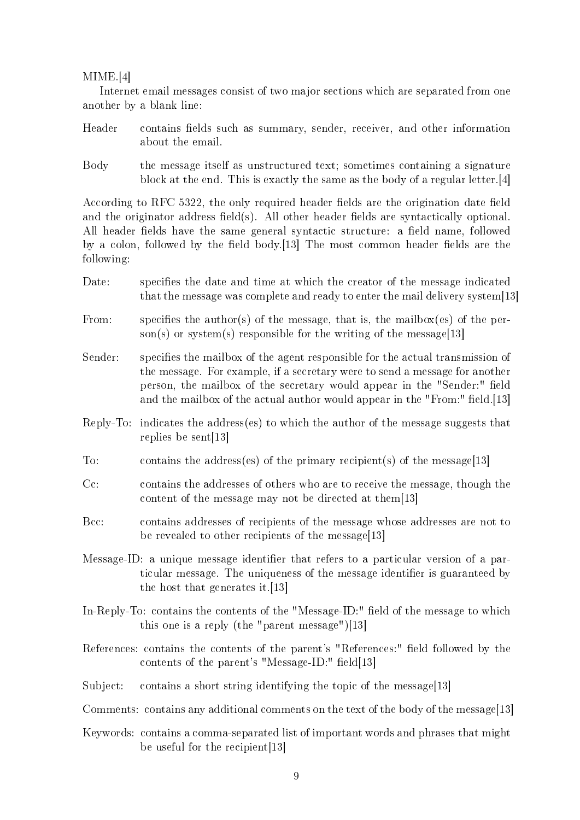#### MIME.[\[4\]](#page-25-5)

Internet email messages consist of two major sections which are separated from one another by a blank line:

- Header contains fields such as summary, sender, receiver, and other information about the email.
- Body the message itself as unstructured text; sometimes containing a signature block at the end. This is exactly the same as the body of a regular letter.[\[4\]](#page-25-5)

According to RFC 5322, the only required header fields are the origination date field and the originator address field(s). All other header fields are syntactically optional. All header fields have the same general syntactic structure: a field name, followed by a colon, followed by the field body.[\[13\]](#page-25-6) The most common header fields are the following:

- Date: specifies the date and time at which the creator of the message indicated that the message was complete and ready to enter the mail delivery system[\[13\]](#page-25-6)
- From: specifies the author(s) of the message, that is, the mailbox(es) of the per-son(s) or system(s) responsible for the writing of the message[\[13\]](#page-25-6)
- Sender: specifies the mailbox of the agent responsible for the actual transmission of the message. For example, if a secretary were to send a message for another person, the mailbox of the secretary would appear in the "Sender:" field and the mailbox of the actual author would appear in the "From:" field.[\[13\]](#page-25-6)
- Reply-To: indicates the address(es) to which the author of the message suggests that replies be sent[\[13\]](#page-25-6)
- To: contains the address(es) of the primary recipient(s) of the message[\[13\]](#page-25-6)
- Cc: contains the addresses of others who are to receive the message, though the content of the message may not be directed at them[\[13\]](#page-25-6)
- Bcc: contains addresses of recipients of the message whose addresses are not to be revealed to other recipients of the message[\[13\]](#page-25-6)
- Message-ID: a unique message identifier that refers to a particular version of a particular message. The uniqueness of the message identifier is guaranteed by the host that generates it.[\[13\]](#page-25-6)
- In-Reply-To: contains the contents of the "Message-ID:" field of the message to which this one is a reply (the "parent message")[\[13\]](#page-25-6)
- References: contains the contents of the parent's "References:" field followed by the contents of the parent's "Message-ID:" field $|13|$
- Subject: contains a short string identifying the topic of the message[\[13\]](#page-25-6)
- Comments: contains any additional comments on the text of the body of the message[\[13\]](#page-25-6)
- Keywords: contains a comma-separated list of important words and phrases that might be useful for the recipient[\[13\]](#page-25-6)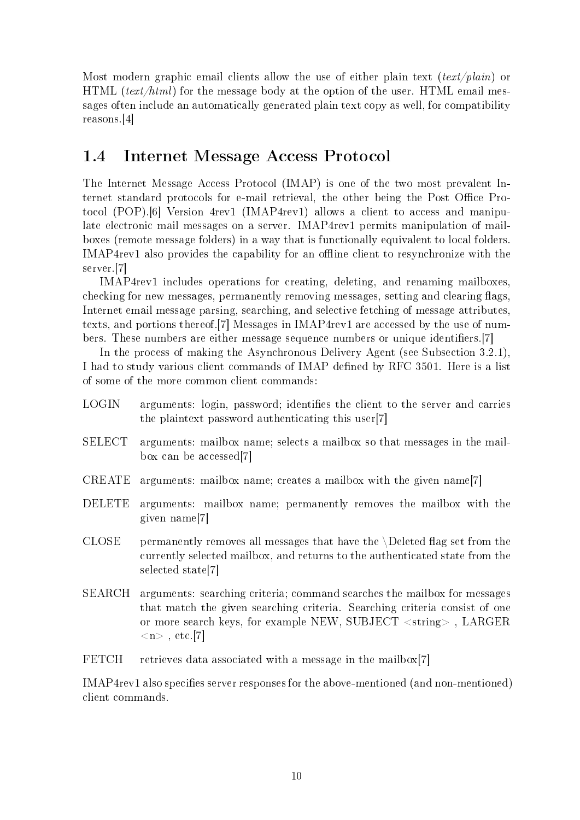Most modern graphic email clients allow the use of either plain text  $(text/plain)$  or HTML (text/html) for the message body at the option of the user. HTML email messages often include an automatically generated plain text copy as well, for compatibility reasons.[\[4\]](#page-25-5)

#### <span id="page-9-0"></span>1.4 Internet Message Access Protocol

The Internet Message Access Protocol (IMAP) is one of the two most prevalent Internet standard protocols for e-mail retrieval, the other being the Post Office Protocol (POP).[\[6\]](#page-25-7) Version 4rev1 (IMAP4rev1) allows a client to access and manipulate electronic mail messages on a server. IMAP4rev1 permits manipulation of mailboxes (remote message folders) in a way that is functionally equivalent to local folders. IMAP4rev1 also provides the capability for an offline client to resynchronize with the server.[\[7\]](#page-25-8)

IMAP4rev1 includes operations for creating, deleting, and renaming mailboxes, checking for new messages, permanently removing messages, setting and clearing flags, Internet email message parsing, searching, and selective fetching of message attributes, texts, and portions thereof.[\[7\]](#page-25-8) Messages in IMAP4rev1 are accessed by the use of num-bers. These numbers are either message sequence numbers or unique identifiers. [\[7\]](#page-25-8)

In the process of making the Asynchronous Delivery Agent (see Subsection [3.2.1\)](#page-16-1), I had to study various client commands of IMAP defined by RFC 3501. Here is a list of some of the more common client commands:

- LOGIN arguments: login, password; identifies the client to the server and carries the plaintext password authenticating this user[\[7\]](#page-25-8)
- SELECT arguments: mailbox name; selects a mailbox so that messages in the mailbox can be accessed[\[7\]](#page-25-8)
- CREATE arguments: mailbox name; creates a mailbox with the given name[\[7\]](#page-25-8)
- DELETE arguments: mailbox name; permanently removes the mailbox with the given name[\[7\]](#page-25-8)
- $CLOSE$  permanently removes all messages that have the  $\Delta$  peleted flag set from the currently selected mailbox, and returns to the authenticated state from the selected state[\[7\]](#page-25-8)
- SEARCH arguments: searching criteria; command searches the mailbox for messages that match the given searching criteria. Searching criteria consist of one or more search keys, for example NEW, SUBJECT <string> , LARGER  $\langle n \rangle$  , etc.[\[7\]](#page-25-8)
- FETCH retrieves data associated with a message in the mailbox[\[7\]](#page-25-8)

IMAP4rev1 also specifies server responses for the above-mentioned (and non-mentioned) client commands.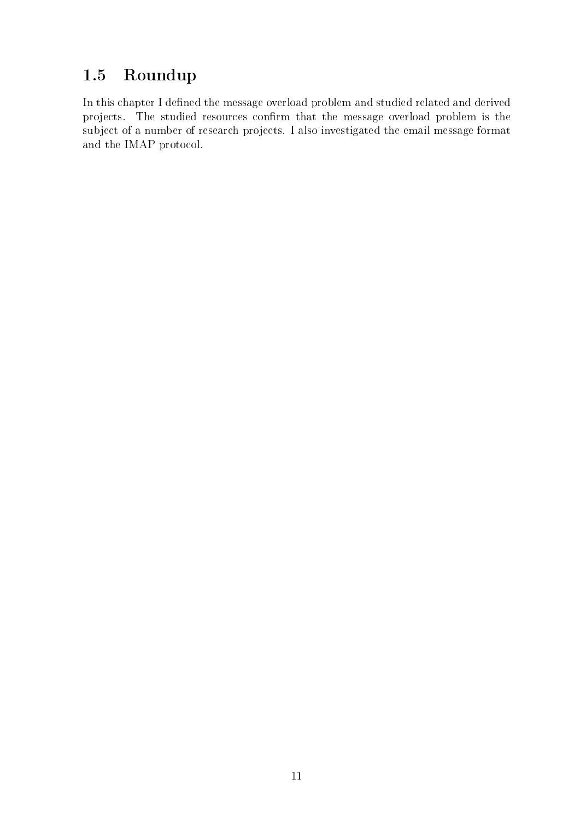### <span id="page-10-0"></span>1.5 Roundup

In this chapter I defined the message overload problem and studied related and derived projects. The studied resources confirm that the message overload problem is the subject of a number of research projects. I also investigated the email message format and the IMAP protocol.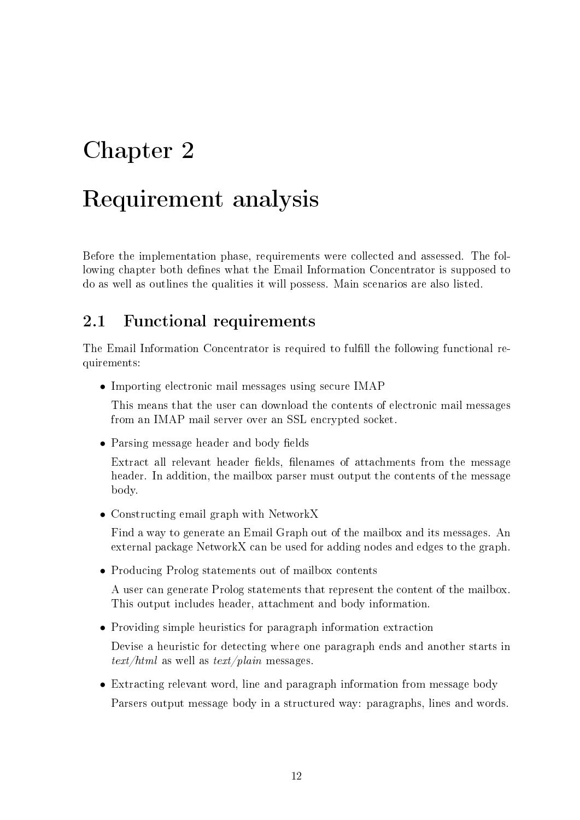# <span id="page-11-0"></span>Chapter 2

### Requirement analysis

Before the implementation phase, requirements were collected and assessed. The following chapter both defines what the Email Information Concentrator is supposed to do as well as outlines the qualities it will possess. Main scenarios are also listed.

#### <span id="page-11-1"></span>2.1 Functional requirements

The Email Information Concentrator is required to fulfill the following functional requirements:

• Importing electronic mail messages using secure IMAP

This means that the user can download the contents of electronic mail messages from an IMAP mail server over an SSL encrypted socket.

• Parsing message header and body fields

Extract all relevant header fields, filenames of attachments from the message header. In addition, the mailbox parser must output the contents of the message body.

• Constructing email graph with NetworkX

Find a way to generate an Email Graph out of the mailbox and its messages. An external package NetworkX can be used for adding nodes and edges to the graph.

• Producing Prolog statements out of mailbox contents

A user can generate Prolog statements that represent the content of the mailbox. This output includes header, attachment and body information.

• Providing simple heuristics for paragraph information extraction

Devise a heuristic for detecting where one paragraph ends and another starts in  $text/html$  as well as  $text/plain$  messages.

• Extracting relevant word, line and paragraph information from message body Parsers output message body in a structured way: paragraphs, lines and words.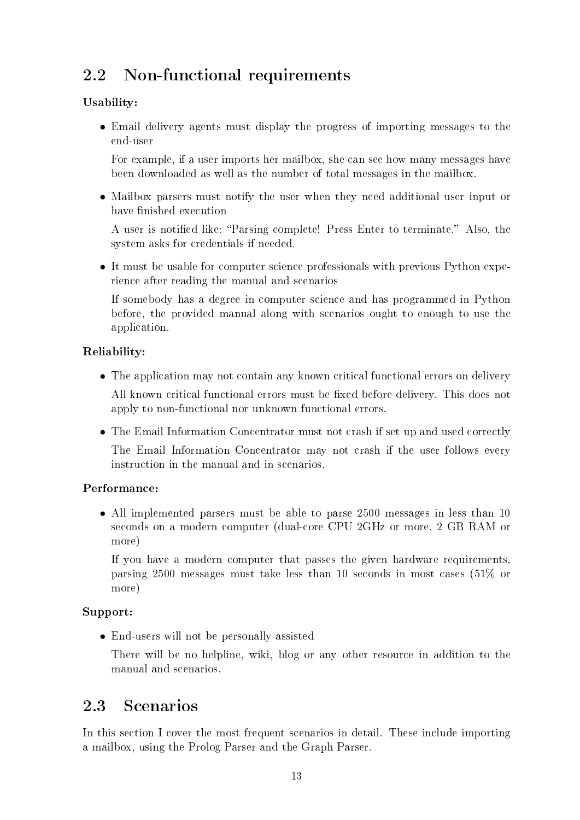### <span id="page-12-0"></span>2.2 Non-functional requirements

#### Usability:

• Email delivery agents must display the progress of importing messages to the end-user

For example, if a user imports her mailbox, she can see how many messages have been downloaded as well as the number of total messages in the mailbox.

• Mailbox parsers must notify the user when they need additional user input or have finished execution

A user is notified like: "Parsing complete! Press Enter to terminate." Also, the system asks for credentials if needed.

• It must be usable for computer science professionals with previous Python experience after reading the manual and scenarios

If somebody has a degree in computer science and has programmed in Python before, the provided manual along with scenarios ought to enough to use the application.

#### Reliability:

- The application may not contain any known critical functional errors on delivery All known critical functional errors must be fixed before delivery. This does not apply to non-functional nor unknown functional errors.
- The Email Information Concentrator must not crash if set up and used correctly The Email Information Concentrator may not crash if the user follows every instruction in the manual and in scenarios.

#### Performance:

• All implemented parsers must be able to parse 2500 messages in less than 10 seconds on a modern computer (dual-core CPU 2GHz or more, 2 GB RAM or more)

If you have a modern computer that passes the given hardware requirements, parsing 2500 messages must take less than 10 seconds in most cases (51% or more)

#### Support:

• End-users will not be personally assisted

There will be no helpline, wiki, blog or any other resource in addition to the manual and scenarios.

### <span id="page-12-1"></span>2.3 Scenarios

In this section I cover the most frequent scenarios in detail. These include importing a mailbox, using the Prolog Parser and the Graph Parser.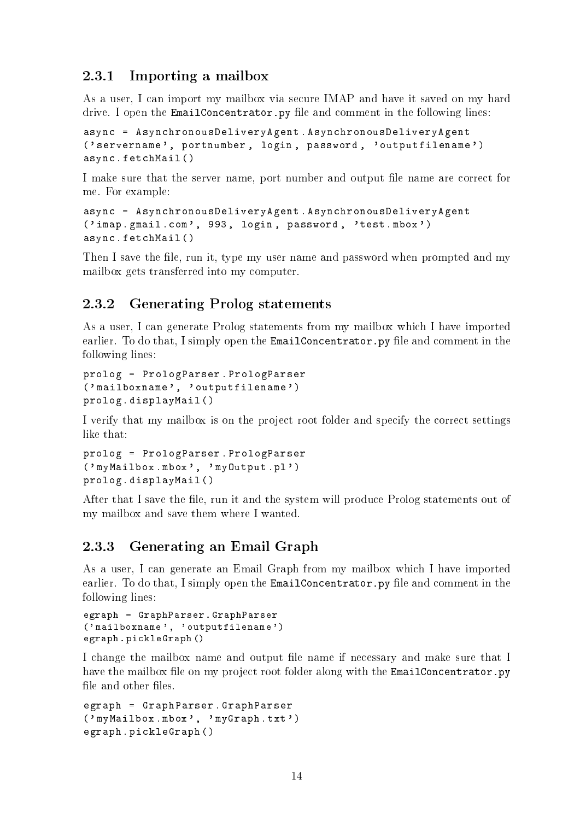#### <span id="page-13-0"></span>2.3.1 Importing a mailbox

As a user, I can import my mailbox via secure IMAP and have it saved on my hard drive. I open the EmailConcentrator.py file and comment in the following lines:

```
async = AsynchronousDeliveryAgent . AsynchronousDeliveryAgent
('servername', portnumber, login, password, 'outputfilename')
async . fetchMail ()
```
I make sure that the server name, port number and output file name are correct for me. For example:

```
async = AsynchronousDeliveryAgent . AsynchronousDeliveryAgent
('imap.gmail.com', 993, login, password, 'test.mbox')
async . fetchMail ()
```
Then I save the file, run it, type my user name and password when prompted and my mailbox gets transferred into my computer.

#### <span id="page-13-1"></span>2.3.2 Generating Prolog statements

As a user, I can generate Prolog statements from my mailbox which I have imported earlier. To do that, I simply open the EmailConcentrator.py file and comment in the following lines:

```
prolog = PrologParser . PrologParser
('mailboxname', 'outputfilename')
prolog . displayMail ()
```
I verify that my mailbox is on the project root folder and specify the correct settings like that:

```
prolog = PrologParser . PrologParser
('myMailbox.mbox', 'myOutput.pl')
prolog . displayMail ()
```
After that I save the file, run it and the system will produce Prolog statements out of my mailbox and save them where I wanted.

#### <span id="page-13-2"></span>2.3.3 Generating an Email Graph

As a user, I can generate an Email Graph from my mailbox which I have imported earlier. To do that, I simply open the EmailConcentrator.py file and comment in the following lines:

```
egraph = GraphParser . GraphParser
('mailboxname', 'outputfilename')
egraph . pickleGraph ()
```
I change the mailbox name and output file name if necessary and make sure that I have the mailbox file on my project root folder along with the EmailConcentrator.py file and other files.

```
egraph = GraphParser . GraphParser
('myMailbox.mbox', 'myGraph.txt')
egraph . pickleGraph ()
```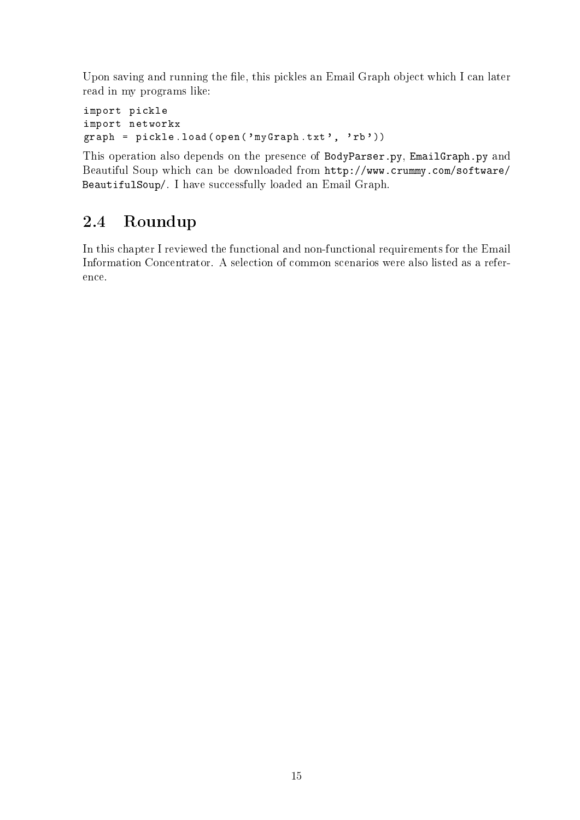Upon saving and running the file, this pickles an Email Graph object which I can later read in my programs like:

```
import pickle
import networkx
graph = pickle.load (open ('myGraph.txt', 'rb'))
```
This operation also depends on the presence of BodyParser.py, EmailGraph.py and Beautiful Soup which can be downloaded from [http://www.crummy.com/software/](http://www.crummy.com/software/BeautifulSoup/) [BeautifulSoup/.](http://www.crummy.com/software/BeautifulSoup/) I have successfully loaded an Email Graph.

### <span id="page-14-0"></span>2.4 Roundup

In this chapter I reviewed the functional and non-functional requirements for the Email Information Concentrator. A selection of common scenarios were also listed as a reference.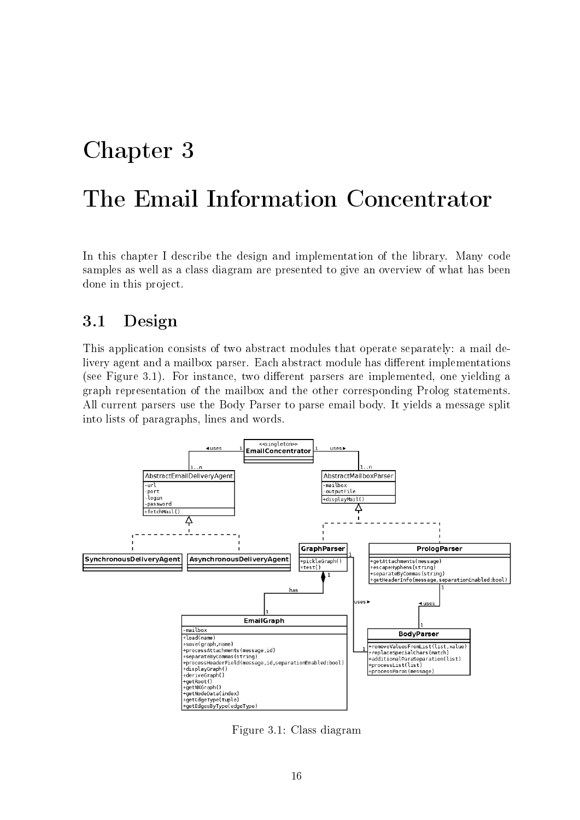### <span id="page-15-0"></span>Chapter 3

### The Email Information Concentrator

In this chapter I describe the design and implementation of the library. Many code samples as well as a class diagram are presented to give an overview of what has been done in this project.

### <span id="page-15-1"></span>3.1 Design

This application consists of two abstract modules that operate separately: a mail delivery agent and a mailbox parser. Each abstract module has different implementations (see Figure [3.1\)](#page-15-2). For instance, two different parsers are implemented, one yielding a graph representation of the mailbox and the other corresponding Prolog statements. All current parsers use the Body Parser to parse email body. It yields a message split into lists of paragraphs, lines and words.



<span id="page-15-2"></span>Figure 3.1: Class diagram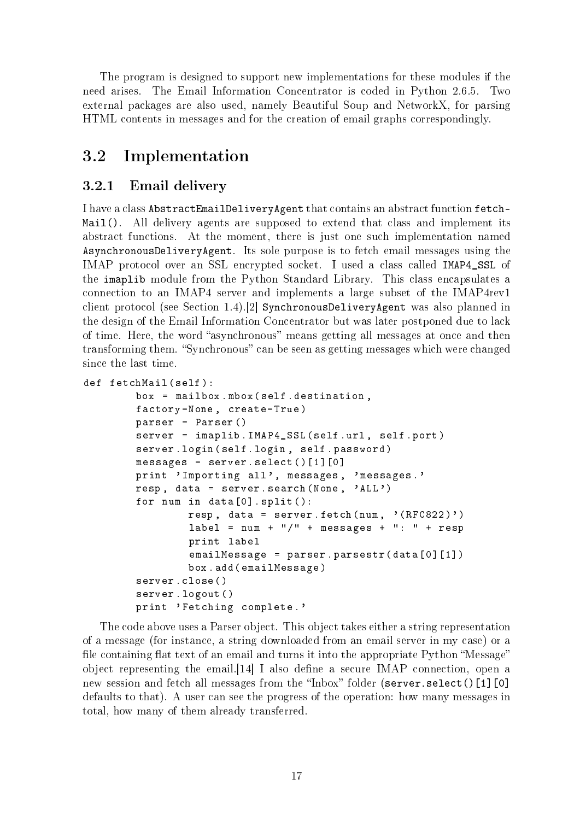The program is designed to support new implementations for these modules if the need arises. The Email Information Concentrator is coded in Python 2.6.5. Two external packages are also used, namely Beautiful Soup and NetworkX, for parsing HTML contents in messages and for the creation of email graphs correspondingly.

### <span id="page-16-0"></span>3.2 Implementation

#### <span id="page-16-1"></span>3.2.1 Email delivery

I have a class AbstractEmailDeliveryAgent that contains an abstract function fetch-Mail(). All delivery agents are supposed to extend that class and implement its abstract functions. At the moment, there is just one such implementation named AsynchronousDeliveryAgent. Its sole purpose is to fetch email messages using the IMAP protocol over an SSL encrypted socket. I used a class called IMAP4\_SSL of the imaplib module from the Python Standard Library. This class encapsulates a connection to an IMAP4 server and implements a large subset of the IMAP4rev1 client protocol (see Section [1.4\)](#page-9-0).[\[2\]](#page-25-9) SynchronousDeliveryAgent was also planned in the design of the Email Information Concentrator but was later postponed due to lack of time. Here, the word "asynchronous" means getting all messages at once and then transforming them. "Synchronous" can be seen as getting messages which were changed since the last time.

```
def fetchMail (self):
```

```
box = mailbox . mbox ( self . destination ,
factory = None , create = True )
parser = Parser ()
server = imaplib . IMAP4_SSL ( self . url , self . port )
server . login ( self . login , self . password )
messages = server.select()[1] [0]print 'Importing all', messages, 'messages.'
resp, data = server.search (None, 'ALL')
for num in data [0]. split ():
         resp, data = server.fetch(num, ' (RFC822)')label = num + " / " + message * + " : " + respprint label
         emailMessage = parser . parsestr ( data [0][1])
         box . add ( emailMessage )
server . close ()
server . logout ()
print 'Fetching complete.'
```
The code above uses a Parser object. This object takes either a string representation of a message (for instance, a string downloaded from an email server in my case) or a file containing flat text of an email and turns it into the appropriate Python "Message" object representing the email.  $[14]$  I also define a secure IMAP connection, open a new session and fetch all messages from the "Inbox" folder (server.select()[1][0] defaults to that). A user can see the progress of the operation: how many messages in total, how many of them already transferred.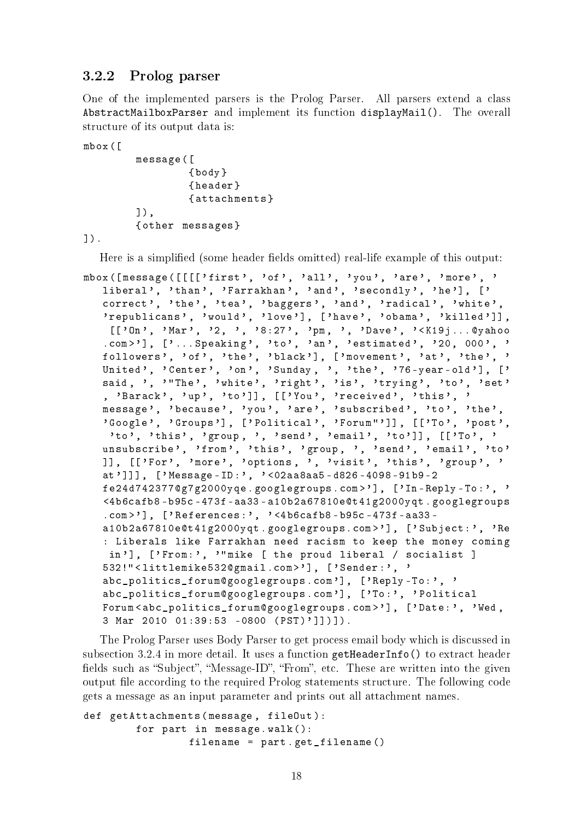#### <span id="page-17-0"></span>3.2.2 Prolog parser

One of the implemented parsers is the Prolog Parser. All parsers extend a class AbstractMailboxParser and implement its function displayMail(). The overall structure of its output data is:

mbox ([

```
message ([
          { body }
          { header }
          { attachments }
1),
{ other messages }
```
]).

Here is a simplified (some header fields omitted) real-life example of this output:

```
mbox ([message ([[[['first', 'of', 'all', 'you', 'are', 'more', '
   liberal', 'than', 'Farrakhan', 'and', 'secondly', 'he'], ['
   correct', 'the', 'tea', 'baggers', 'and', 'radical', 'white',
   'republicans', 'would', 'love'], ['have', 'obama', 'killed']],
    [['On', 'Mar', '2, ', '8:27', 'pm, ', 'Dave', '<K19j...@yahoo
   . com > '], ['... Speaking', 'to', 'an', 'estimated', '20, 000', '
   followers', 'of', 'the', 'black'], ['movement', 'at', 'the', '
   United', 'Center', 'on', 'Sunday, ', 'the', '76-year-old'], ['
  said, ', '"The', 'white', 'right', 'is', 'trying', 'to', 'set'
   , 'Barack', 'up', 'to']], [['You', 'received', 'this', '
   message', 'because', 'you', 'are', 'subscribed', 'to', 'the',
   'Google', 'Groups'], ['Political', 'Forum"']], [['To', 'post',
    'to', 'this', 'group, ', 'send', 'email', 'to']], [['To', '
  unsubscribe', 'from', 'this', 'group, ', 'send', 'email', 'to'
  ]], [['For', 'more', 'options, ', 'visit', 'this', 'group', '
   at ']]] , [ ' Message - ID : ', ' <02 aa8aa5 - d826 -4098 -91 b9 -2
   fe24d742377@g7g2000yqe . googlegroups . com > '], [ 'In - Reply - To : ' , '
   <4 b6cafb8 - b95c -473 f - aa33 - a10b2a67810e@t41g2000yqt . googlegroups
   \ldots com > '], ['References:', '<4b6cafb8-b95c-473f-aa33-
   a10b2a67810e@t41g2000yqt . googlegroups . com > '] , [ ' Subject : ' , 'Re
   : Liberals like Farrakhan need racism to keep the money coming
    in'], ['From:', '"mike [ the proud liberal / socialist ]
   532!" < littlemike532@gmail . com > '], [ ' Sender : ', '
   abc_politics_forum@googlegroups . com '], [ ' Reply - To : ', '
   abc_politics_forum@googlegroups . com '], [ ' To : ', ' Political
  Forum < abc_politics_forum@googlegroups . com > '], [ ' Date : ', 'Wed ,
   3 Mar 2010 01:39:53 -0800 (PST)']])]).
```
The Prolog Parser uses Body Parser to get process email body which is discussed in subsection [3.2.4](#page-19-0) in more detail. It uses a function getHeaderInfo() to extract header fields such as "Subject", "Message-ID", "From", etc. These are written into the given output file according to the required Prolog statements structure. The following code gets a message as an input parameter and prints out all attachment names.

```
def getAttachments ( message , fileOut ):
        for part in message . walk ():
                  filename = part . get_filename ()
```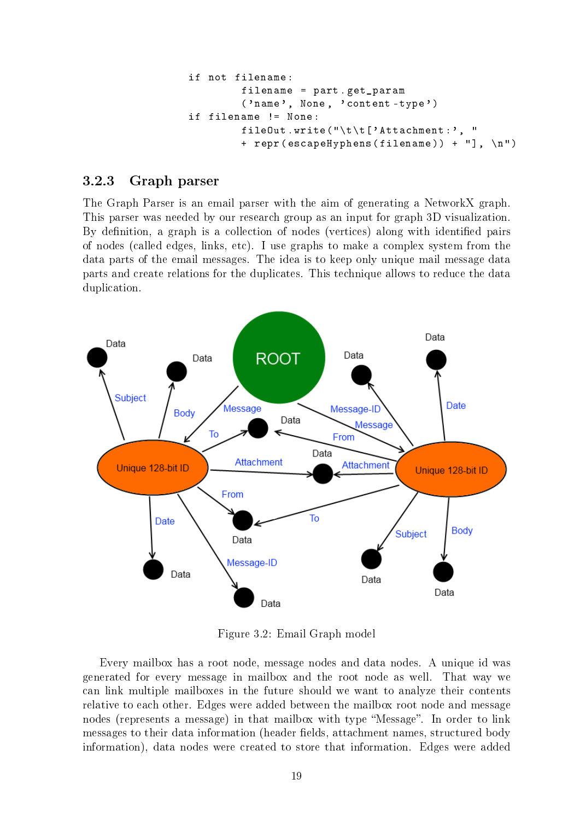```
if not filename :
        filename = part . get_param
         ('name', None, 'content-type')
if filename != None :
         fileOut . write ( "\t \t[ ' Attachment :' , "
         + repr ( escapeHyphens ( filename )) + " ], \ n")
```
#### <span id="page-18-0"></span>3.2.3 Graph parser

The Graph Parser is an email parser with the aim of generating a NetworkX graph. This parser was needed by our research group as an input for graph 3D visualization. By definition, a graph is a collection of nodes (vertices) along with identified pairs of nodes (called edges, links, etc). I use graphs to make a complex system from the data parts of the email messages. The idea is to keep only unique mail message data parts and create relations for the duplicates. This technique allows to reduce the data duplication.



<span id="page-18-1"></span>Figure 3.2: Email Graph model

Every mailbox has a root node, message nodes and data nodes. A unique id was generated for every message in mailbox and the root node as well. That way we can link multiple mailboxes in the future should we want to analyze their contents relative to each other. Edges were added between the mailbox root node and message nodes (represents a message) in that mailbox with type "Message". In order to link messages to their data information (header fields, attachment names, structured body information), data nodes were created to store that information. Edges were added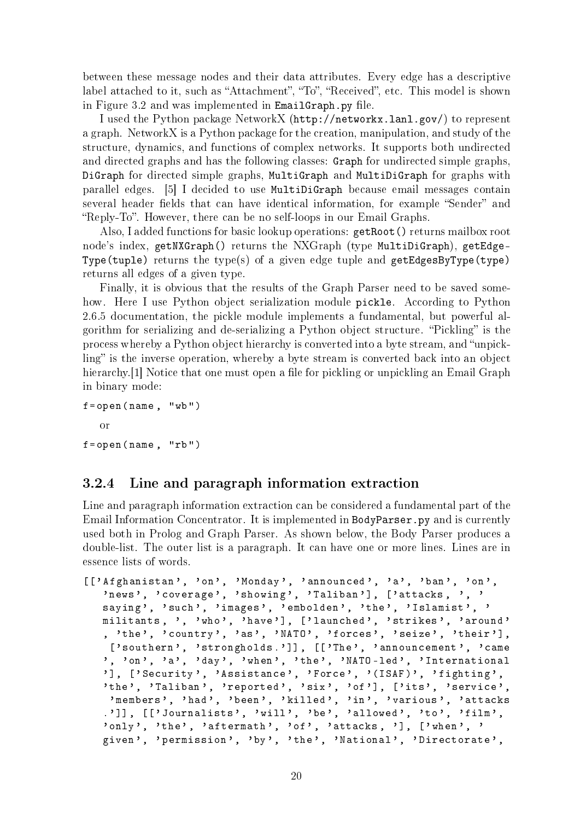between these message nodes and their data attributes. Every edge has a descriptive label attached to it, such as "Attachment", "To", "Received", etc. This model is shown in Figure [3.2](#page-18-1) and was implemented in EmailGraph.py file.

I used the Python package NetworkX [\(http://networkx.lanl.gov/\)](http://networkx.lanl.gov/) to represent a graph. NetworkX is a Python package for the creation, manipulation, and study of the structure, dynamics, and functions of complex networks. It supports both undirected and directed graphs and has the following classes: Graph for undirected simple graphs, DiGraph for directed simple graphs, MultiGraph and MultiDiGraph for graphs with parallel edges. [\[5\]](#page-25-10) I decided to use MultiDiGraph because email messages contain several header fields that can have identical information, for example "Sender" and "Reply-To". However, there can be no self-loops in our Email Graphs.

Also, I added functions for basic lookup operations: getRoot() returns mailbox root node's index, getNXGraph() returns the NXGraph (type MultiDiGraph), getEdge-Type(tuple) returns the type(s) of a given edge tuple and getEdgesByType(type) returns all edges of a given type.

Finally, it is obvious that the results of the Graph Parser need to be saved somehow. Here I use Python object serialization module pickle. According to Python 2.6.5 documentation, the pickle module implements a fundamental, but powerful algorithm for serializing and de-serializing a Python object structure. "Pickling" is the process whereby a Python object hierarchy is converted into a byte stream, and "unpick- $\lim g$  is the inverse operation, whereby a byte stream is converted back into an object hierarchy.<sup>[\[1\]](#page-25-11)</sup> Notice that one must open a file for pickling or unpickling an Email Graph in binary mode:

```
f = open(name, "wb")or
f = open(name, "rb")
```
#### <span id="page-19-0"></span>3.2.4 Line and paragraph information extraction

Line and paragraph information extraction can be considered a fundamental part of the Email Information Concentrator. It is implemented in BodyParser.py and is currently used both in Prolog and Graph Parser. As shown below, the Body Parser produces a double-list. The outer list is a paragraph. It can have one or more lines. Lines are in essence lists of words.

```
[ [' Afghanistan', 'on', 'Monday', 'announced', 'a', 'ban', 'on',
   'news', 'coverage', 'showing', 'Taliban'], ['attacks, ', '
   saying', 'such', 'images', 'embolden', 'the', 'Islamist', '
  militants, ', 'who', 'have'], ['launched', 'strikes', 'around'
   , ' the ', ' country ', 'as ', ' NATO ', ' forces ', ' seize ', ' their '] ,
    ['southern', 'strongholds.']], [['The', 'announcement', 'came
   ', 'on', 'a', 'day', 'when', 'the', 'NATO-led', 'International
   '], ['Security', 'Assistance', 'Force', '(ISAF)', 'fighting',
   'the', 'Taliban', 'reported', 'six', 'of'], ['its', 'service',
   'members', 'had', 'been', 'killed', 'in', 'various', 'attacks
   .']], [['Journalists', 'will', 'be', 'allowed', 'to', 'film',' only', 'the', ' aftermath', ' of', ' attacks, '], [' when', '
   given', 'permission', 'by', 'the', 'National', 'Directorate',
```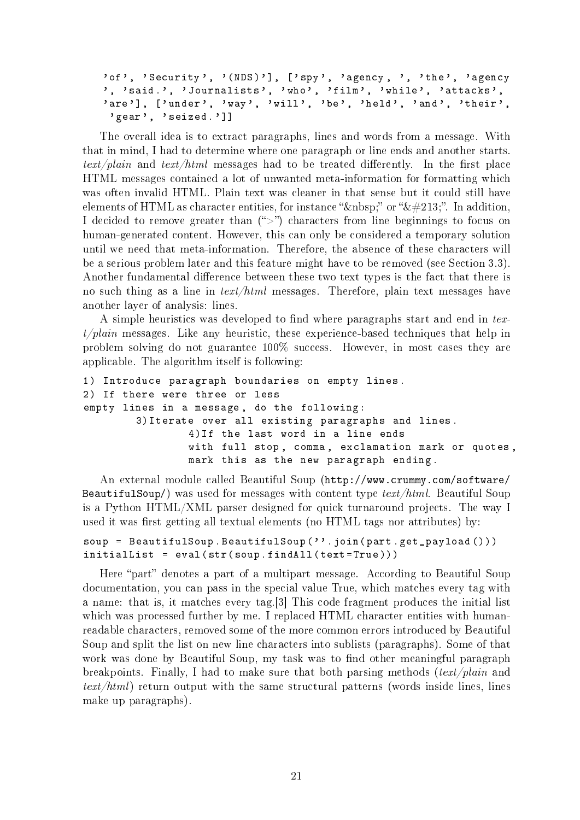'of', 'Security', '(NDS)'], ['spy', 'agency, ', 'the', 'agency ', 'said.', 'Journalists', 'who', 'film', 'while', 'attacks', 'are'], ['under', 'way', 'will', 'be', 'held', 'and', 'their', ' gear', ' seized .']]

The overall idea is to extract paragraphs, lines and words from a message. With that in mind, I had to determine where one paragraph or line ends and another starts.  $text/plain$  and  $text/html$  messages had to be treated differently. In the first place HTML messages contained a lot of unwanted meta-information for formatting which was often invalid HTML. Plain text was cleaner in that sense but it could still have elements of HTML as character entities, for instance " " or "Õ". In addition, I decided to remove greater than  $(\sqrt{\ }>)$  characters from line beginnings to focus on human-generated content. However, this can only be considered a temporary solution until we need that meta-information. Therefore, the absence of these characters will be a serious problem later and this feature might have to be removed (see Section [3.3\)](#page-21-0). Another fundamental difference between these two text types is the fact that there is no such thing as a line in text/html messages. Therefore, plain text messages have another layer of analysis: lines.

A simple heuristics was developed to find where paragraphs start and end in tex $t/plain$  messages. Like any heuristic, these experience-based techniques that help in problem solving do not guarantee 100% success. However, in most cases they are applicable. The algorithm itself is following:

```
1) Introduce paragraph boundaries on empty lines .
2) If there were three or less
empty lines in a message , do the following :
        3) Iterate over all existing paragraphs and lines .
                4) If the last word in a line ends
                with full stop, comma, exclamation mark or quotes,
                mark this as the new paragraph ending .
```
An external module called Beautiful Soup [\(http://www.crummy.com/software/](http://www.crummy.com/software/BeautifulSoup/) [BeautifulSoup/\)](http://www.crummy.com/software/BeautifulSoup/) was used for messages with content type  $text/html$ . Beautiful Soup is a Python HTML/XML parser designed for quick turnaround projects. The way I used it was first getting all textual elements (no HTML tags nor attributes) by:

```
soup = BeautifulSoup. BeautifulSoup(''.join(part.get_payload()))
initialList = eval(str(soup.findAll(text=True)))
```
Here "part" denotes a part of a multipart message. According to Beautiful Soup documentation, you can pass in the special value True, which matches every tag with a name: that is, it matches every tag.[\[3\]](#page-25-12) This code fragment produces the initial list which was processed further by me. I replaced HTML character entities with humanreadable characters, removed some of the more common errors introduced by Beautiful Soup and split the list on new line characters into sublists (paragraphs). Some of that work was done by Beautiful Soup, my task was to find other meaningful paragraph breakpoints. Finally, I had to make sure that both parsing methods  $(text/plain$  and  $text/html$ ) return output with the same structural patterns (words inside lines, lines make up paragraphs).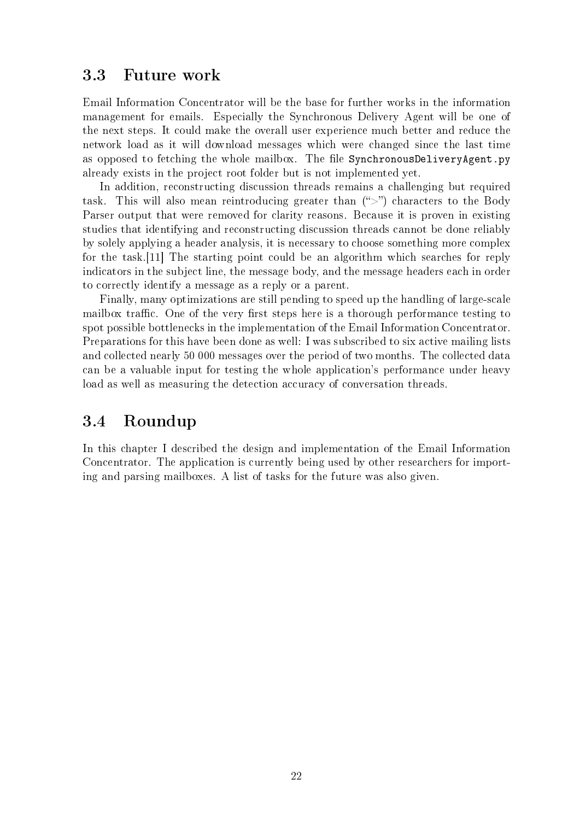#### <span id="page-21-0"></span>3.3 Future work

Email Information Concentrator will be the base for further works in the information management for emails. Especially the Synchronous Delivery Agent will be one of the next steps. It could make the overall user experience much better and reduce the network load as it will download messages which were changed since the last time as opposed to fetching the whole mailbox. The file SynchronousDeliveryAgent.py already exists in the project root folder but is not implemented yet.

In addition, reconstructing discussion threads remains a challenging but required task. This will also mean reintroducing greater than  $(\tilde{\ }^{\prime\prime})$  characters to the Body Parser output that were removed for clarity reasons. Because it is proven in existing studies that identifying and reconstructing discussion threads cannot be done reliably by solely applying a header analysis, it is necessary to choose something more complex for the task.[\[11\]](#page-25-3) The starting point could be an algorithm which searches for reply indicators in the subject line, the message body, and the message headers each in order to correctly identify a message as a reply or a parent.

Finally, many optimizations are still pending to speed up the handling of large-scale mailbox traffic. One of the very first steps here is a thorough performance testing to spot possible bottlenecks in the implementation of the Email Information Concentrator. Preparations for this have been done as well: I was subscribed to six active mailing lists and collected nearly 50 000 messages over the period of two months. The collected data can be a valuable input for testing the whole application's performance under heavy load as well as measuring the detection accuracy of conversation threads.

#### <span id="page-21-1"></span>3.4 Roundup

In this chapter I described the design and implementation of the Email Information Concentrator. The application is currently being used by other researchers for importing and parsing mailboxes. A list of tasks for the future was also given.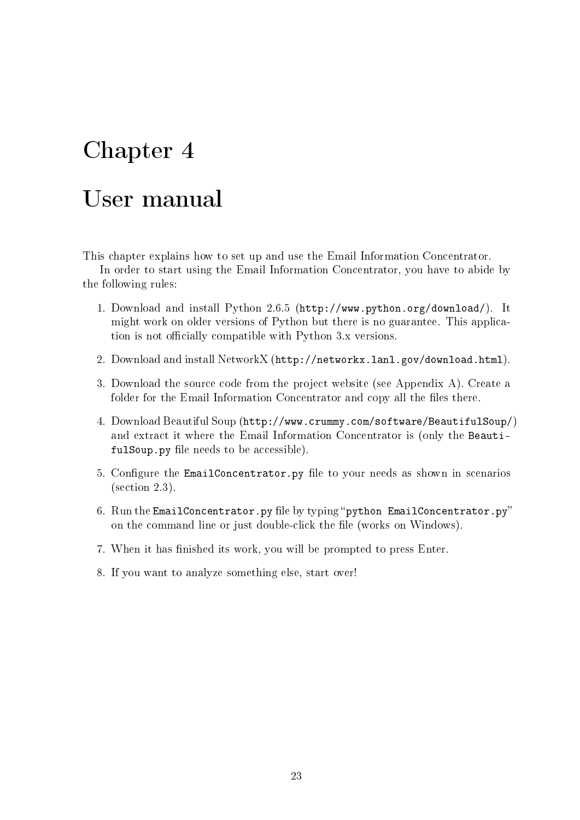# <span id="page-22-0"></span>Chapter 4

### User manual

This chapter explains how to set up and use the Email Information Concentrator.

In order to start using the Email Information Concentrator, you have to abide by the following rules:

- 1. Download and install Python 2.6.5 [\(http://www.python.org/download/\)](http://www.python.org/download/). It might work on older versions of Python but there is no guarantee. This application is not officially compatible with Python 3.x versions.
- 2. Download and install NetworkX [\(http://networkx.lanl.gov/download.html\)](http://networkx.lanl.gov/download.html).
- 3. Download the source code from the project website (see Appendix [A\)](#page-27-0). Create a folder for the Email Information Concentrator and copy all the files there.
- 4. Download Beautiful Soup [\(http://www.crummy.com/software/BeautifulSoup/\)](http://www.crummy.com/software/BeautifulSoup/) and extract it where the Email Information Concentrator is (only the BeautifulSoup.py file needs to be accessible).
- 5. Configure the EmailConcentrator.py file to your needs as shown in scenarios (section [2.3\)](#page-12-1).
- 6. Run the EmailConcentrator.py file by typing "python EmailConcentrator.py" on the command line or just double-click the file (works on Windows).
- 7. When it has finished its work, you will be prompted to press Enter.
- <span id="page-22-1"></span>8. If you want to analyze something else, start over!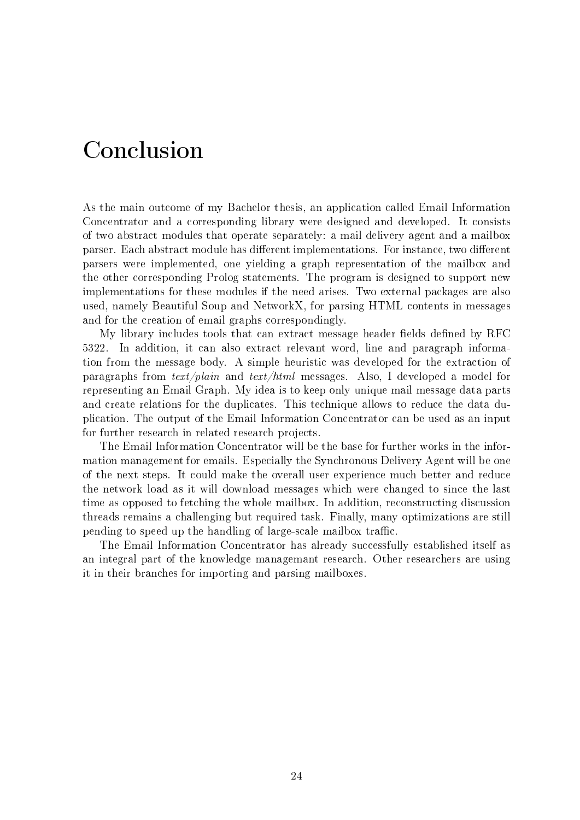# Conclusion

<span id="page-23-0"></span>As the main outcome of my Bachelor thesis, an application called Email Information Concentrator and a corresponding library were designed and developed. It consists of two abstract modules that operate separately: a mail delivery agent and a mailbox parser. Each abstract module has different implementations. For instance, two different parsers were implemented, one yielding a graph representation of the mailbox and the other corresponding Prolog statements. The program is designed to support new implementations for these modules if the need arises. Two external packages are also used, namely Beautiful Soup and NetworkX, for parsing HTML contents in messages and for the creation of email graphs correspondingly.

My library includes tools that can extract message header fields defined by RFC 5322. In addition, it can also extract relevant word, line and paragraph information from the message body. A simple heuristic was developed for the extraction of paragraphs from text/plain and text/html messages. Also, I developed a model for representing an Email Graph. My idea is to keep only unique mail message data parts and create relations for the duplicates. This technique allows to reduce the data duplication. The output of the Email Information Concentrator can be used as an input for further research in related research projects.

The Email Information Concentrator will be the base for further works in the information management for emails. Especially the Synchronous Delivery Agent will be one of the next steps. It could make the overall user experience much better and reduce the network load as it will download messages which were changed to since the last time as opposed to fetching the whole mailbox. In addition, reconstructing discussion threads remains a challenging but required task. Finally, many optimizations are still pending to speed up the handling of large-scale mailbox traffic.

The Email Information Concentrator has already successfully established itself as an integral part of the knowledge managemant research. Other researchers are using it in their branches for importing and parsing mailboxes.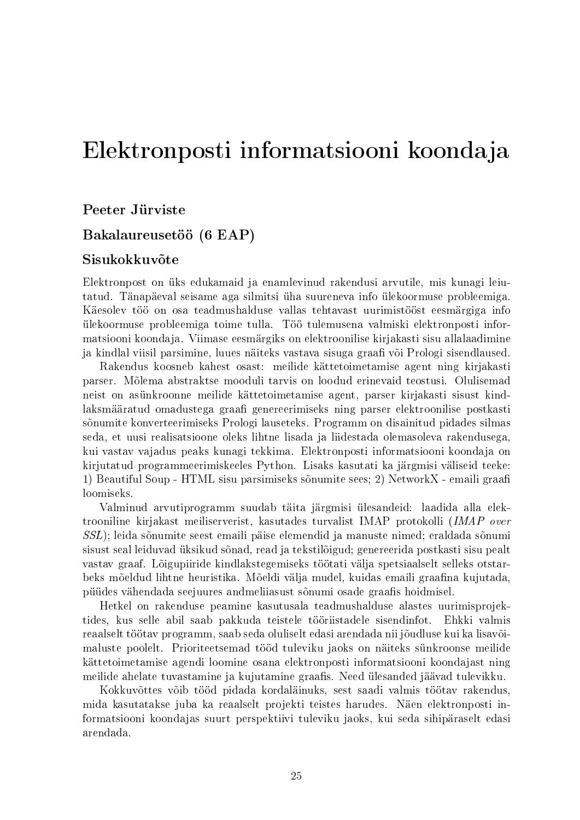### Elektronposti informatsiooni koondaja

Peeter Jürviste

#### Bakalaureusetöö (6 EAP)

#### Sisukokkuvõte

<span id="page-24-0"></span>Elektronpost on üks edukamaid ja enamlevinud rakendusi arvutile, mis kunagi leiutatud. Tänapäeval seisame aga silmitsi üha suureneva info ülekoormuse probleemiga. Käesolev töö on osa teadmushalduse vallas tehtavast uurimistööst eesmärgiga info ülekoormuse probleemiga toime tulla. Töö tulemusena valmiski elektronposti informatsiooni koondaja. Viimase eesmärgiks on elektroonilise kirjakasti sisu allalaadimine ja kindlal viisil parsimine, luues näiteks vastava sisuga graafi või Prologi sisendlaused.

Rakendus koosneb kahest osast: meilide kättetoimetamise agent ning kirjakasti parser. Mõlema abstraktse mooduli tarvis on loodud erinevaid teostusi. Olulisemad neist on asünkroonne meilide kättetoimetamise agent, parser kirjakasti sisust kindlaksmääratud omadustega graafi genereerimiseks ning parser elektroonilise postkasti sõnumite konverteerimiseks Prologi lauseteks. Programm on disainitud pidades silmas seda, et uusi realisatsioone oleks lihtne lisada ja liidestada olemasoleva rakendusega, kui vastav vajadus peaks kunagi tekkima. Elektronposti informatsiooni koondaja on kirjutatud programmeerimiskeeles Python. Lisaks kasutati ka järgmisi väliseid teeke: 1) Beautiful Soup - HTML sisu parsimiseks sõnumite sees; 2) NetworkX - emaili graa loomiseks.

Valminud arvutiprogramm suudab täita järgmisi ülesandeid: laadida alla elektrooniline kirjakast meiliserverist, kasutades turvalist IMAP protokolli (IMAP over SSL); leida sõnumite seest emaili päise elemendid ja manuste nimed; eraldada sõnumi sisust seal leiduvad üksikud sõnad, read ja tekstilõigud; genereerida postkasti sisu pealt vastav graaf. Lõigupiiride kindlakstegemiseks töötati välja spetsiaalselt selleks otstarbeks mõeldud lihtne heuristika. Mõeldi välja mudel, kuidas emaili graafina kujutada, püüdes vähendada seejuures andmeliiasust sõnumi osade graafis hoidmisel.

Hetkel on rakenduse peamine kasutusala teadmushalduse alastes uurimisprojektides, kus selle abil saab pakkuda teistele tööriistadele sisendinfot. Ehkki valmis reaalselt töötav programm, saab seda oluliselt edasi arendada nii jõudluse kui ka lisavõimaluste poolelt. Prioriteetsemad tööd tuleviku jaoks on näiteks sünkroonse meilide kättetoimetamise agendi loomine osana elektronposti informatsiooni koondajast ning meilide ahelate tuvastamine ja kujutamine graafis. Need ülesanded jäävad tulevikku.

Kokkuvõttes võib tööd pidada kordaläinuks, sest saadi valmis töötav rakendus, mida kasutatakse juba ka reaalselt projekti teistes harudes. Näen elektronposti informatsiooni koondajas suurt perspektiivi tuleviku jaoks, kui seda sihipäraselt edasi arendada.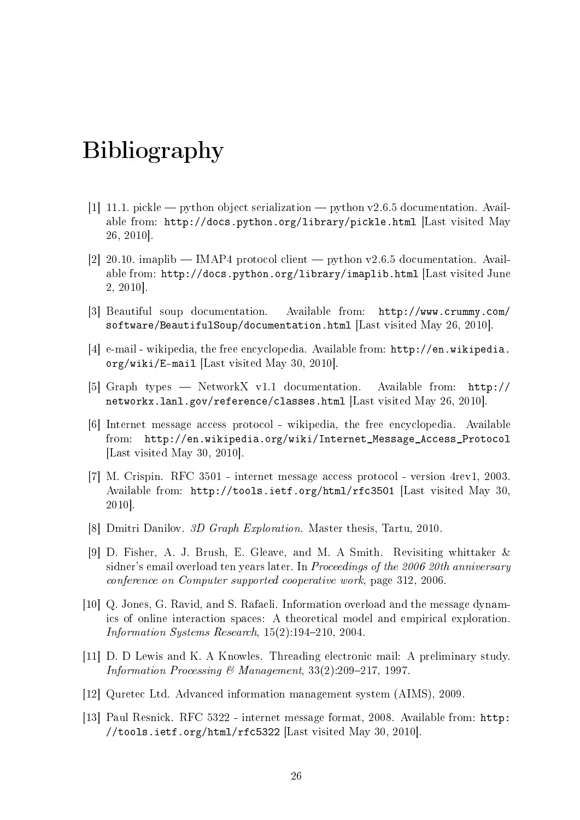# Bibliography

- <span id="page-25-11"></span>[1] 11.1. pickle  $-$  python object serialization  $-$  python v2.6.5 documentation. Available from: <http://docs.python.org/library/pickle.html> [Last visited May 26, 2010].
- <span id="page-25-9"></span>[2] 20.10. imaplib  $-$  IMAP4 protocol client  $-$  python v2.6.5 documentation. Available from: <http://docs.python.org/library/imaplib.html> [Last visited June 2, 2010].
- <span id="page-25-12"></span>[3] Beautiful soup documentation. Available from: [http://www.crummy.com/](http://www.crummy.com/software/BeautifulSoup/documentation.html) [software/BeautifulSoup/documentation.html](http://www.crummy.com/software/BeautifulSoup/documentation.html) [Last visited May 26, 2010].
- <span id="page-25-5"></span>[4] e-mail - wikipedia, the free encyclopedia. Available from: [http://en.wikipedia.](http://en.wikipedia.org/wiki/E-mail) [org/wiki/E-mail](http://en.wikipedia.org/wiki/E-mail) [Last visited May 30, 2010].
- <span id="page-25-10"></span>[5] Graph types NetworkX v1.1 documentation. Available from: [http://](http://networkx.lanl.gov/reference/classes.html) [networkx.lanl.gov/reference/classes.html](http://networkx.lanl.gov/reference/classes.html) [Last visited May 26, 2010].
- <span id="page-25-7"></span>[6] Internet message access protocol - wikipedia, the free encyclopedia. Available from: [http://en.wikipedia.org/wiki/Internet\\_Message\\_Access\\_Protocol](http://en.wikipedia.org/wiki/Internet_Message_Access_Protocol) [Last visited May 30, 2010].
- <span id="page-25-8"></span>[7] M. Crispin. RFC 3501 - internet message access protocol - version 4rev1, 2003. Available from: <http://tools.ietf.org/html/rfc3501> [Last visited May 30, 2010].
- <span id="page-25-4"></span>[8] Dmitri Danilov. 3D Graph Exploration. Master thesis, Tartu, 2010.
- <span id="page-25-1"></span>[9] D. Fisher, A. J. Brush, E. Gleave, and M. A Smith. Revisiting whittaker & sidner's email overload ten years later. In Proceedings of the 2006 20th anniversary conference on Computer supported cooperative work, page 312, 2006.
- <span id="page-25-2"></span>[10] Q. Jones, G. Ravid, and S. Rafaeli. Information overload and the message dynamics of online interaction spaces: A theoretical model and empirical exploration. Information Systems Research,  $15(2):194-210$ , 2004.
- <span id="page-25-3"></span>[11] D. D Lewis and K. A Knowles. Threading electronic mail: A preliminary study. Information Processing & Management,  $33(2):209-217$ , 1997.
- <span id="page-25-0"></span>[12] Quretec Ltd. Advanced information management system (AIMS), 2009.
- <span id="page-25-6"></span>[13] Paul Resnick. RFC 5322 - internet message format, 2008. Available from: [http:](http://tools.ietf.org/html/rfc5322) [//tools.ietf.org/html/rfc5322](http://tools.ietf.org/html/rfc5322) [Last visited May 30, 2010].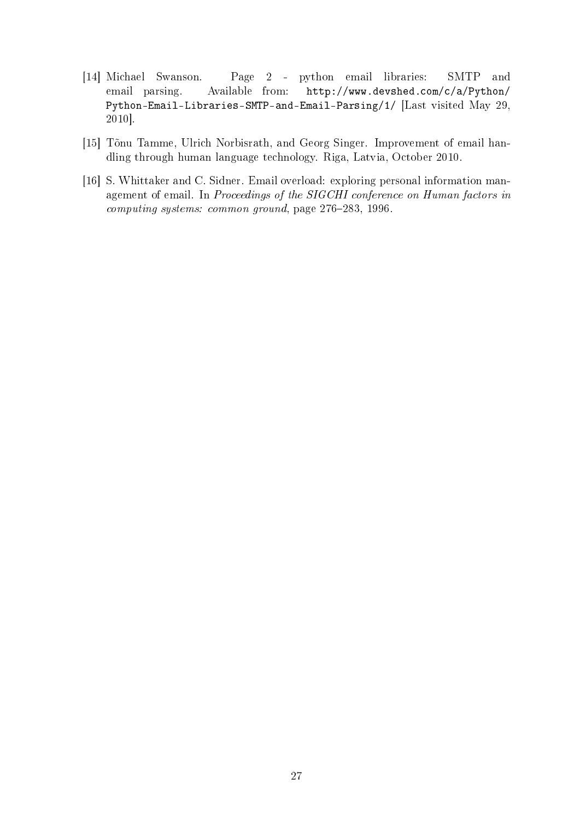- <span id="page-26-2"></span>[14] Michael Swanson. Page 2 - python email libraries: SMTP and email parsing. Available from: [http://www.devshed.com/c/a/Python/](http://www.devshed.com/c/a/Python/Python-Email-Libraries-SMTP-and-Email-Parsing/1/) [Python-Email-Libraries-SMTP-and-Email-Parsing/1/](http://www.devshed.com/c/a/Python/Python-Email-Libraries-SMTP-and-Email-Parsing/1/) [Last visited May 29, 2010].
- <span id="page-26-1"></span>[15] Tõnu Tamme, Ulrich Norbisrath, and Georg Singer. Improvement of email handling through human language technology. Riga, Latvia, October 2010.
- <span id="page-26-0"></span>[16] S. Whittaker and C. Sidner. Email overload: exploring personal information management of email. In Proceedings of the SIGCHI conference on Human factors in computing systems: common ground, page 276-283, 1996.